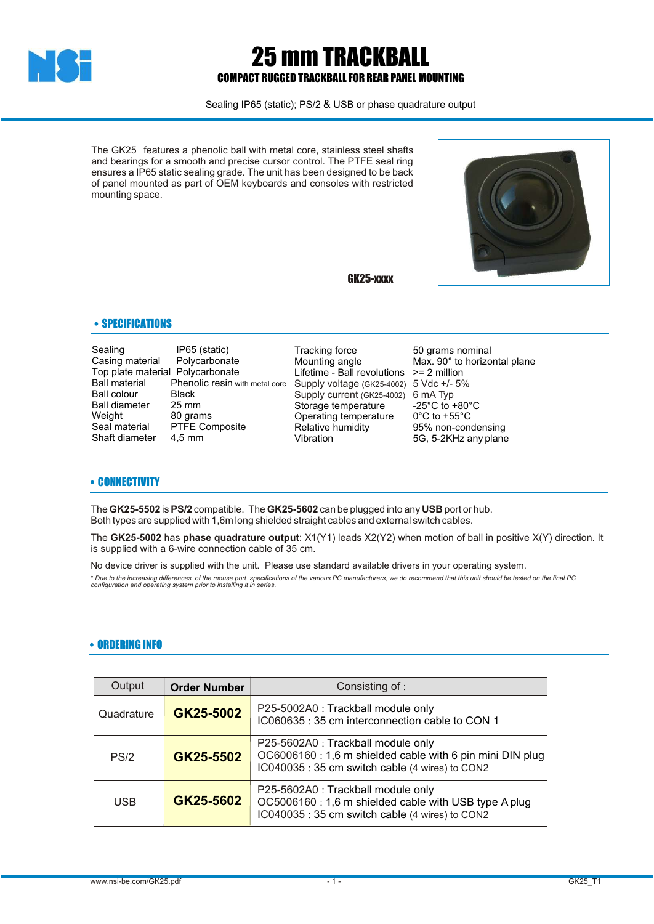

# 25 mm TRACKBALL COMPACT RUGGED TRACKBALL FOR REAR PANEL MOUNTING

Sealing IP65 (static); PS/2 & USB or phase quadrature output

The GK25 features a phenolic ball with metal core, stainless steel shafts and bearings for a smooth and precise cursor control. The PTFE seal ring ensures a IP65 static sealing grade. The unit has been designed to be back of panel mounted as part of OEM keyboards and consoles with restricted mounting space.

GK25-xxxx



## • SPECIFICATIONS

Sealing IP65 (static)<br>Casing material Polycarbonate Casing material Top plate material Polycarbonate<br>Ball material Phenolic resin w Ball colour Black<br>Ball diameter 25 mm Ball diameter<br>Weight Weight 80 grams<br>Seal material PTFE Cor Shaft diameter

Phenolic resin with metal core<br>Black PTFE Composite<br>4,5 mm

Tracking force 50 grams nominal<br>
Mounting angle 60 Max. 90° to horizo Lifetime - Ball revolutions >= 2 million Storage temperature -25°C to +80°C<br>Operating temperature 0°C to +55°C Operating temperature<br>Relative humidity Relative humidity **85%** non-condensing<br>Vibration **1986** 5-2KHz any plane Supply voltage (GK25-4002) 5 Vdc +/- 5% Supply current (GK25-4002) 6 mA Typ

Max. 90° to horizontal plane 5G, 5-2KHz any plane

#### • CONNECTIVITY

The **GK25-5502** is **PS/2** compatible. The **GK25-5602** can be plugged into any **USB** port or hub. Both types are supplied with 1,6m long shielded straight cables and external switch cables.

The **GK25-5002** has **phase quadrature output**: X1(Y1) leads X2(Y2) when motion of ball in positive X(Y) direction. It is supplied with a 6-wire connection cable of 35 cm.

No device driver is supplied with the unit. Please use standard available drivers in your operating system. \* Due to the increasing differences of the mouse port specifications of the various PC manufacturers, we do recommend that this unit should be tested on the final PC<br>configuration and operating system prior to installing

### • ORDERING INFO

| Output     | <b>Order Number</b> | Consisting of :                                                                                                                                   |
|------------|---------------------|---------------------------------------------------------------------------------------------------------------------------------------------------|
| Quadrature | GK25-5002           | P25-5002A0 : Trackball module only<br>IC060635: 35 cm interconnection cable to CON 1                                                              |
| PS/2       | GK25-5502           | P25-5602A0 : Trackball module only<br>OC6006160 : 1,6 m shielded cable with 6 pin mini DIN plug<br>IC040035: 35 cm switch cable (4 wires) to CON2 |
| <b>USB</b> | GK25-5602           | P25-5602A0 : Trackball module only<br>OC5006160 : 1,6 m shielded cable with USB type A plug<br>IC040035: 35 cm switch cable (4 wires) to CON2     |